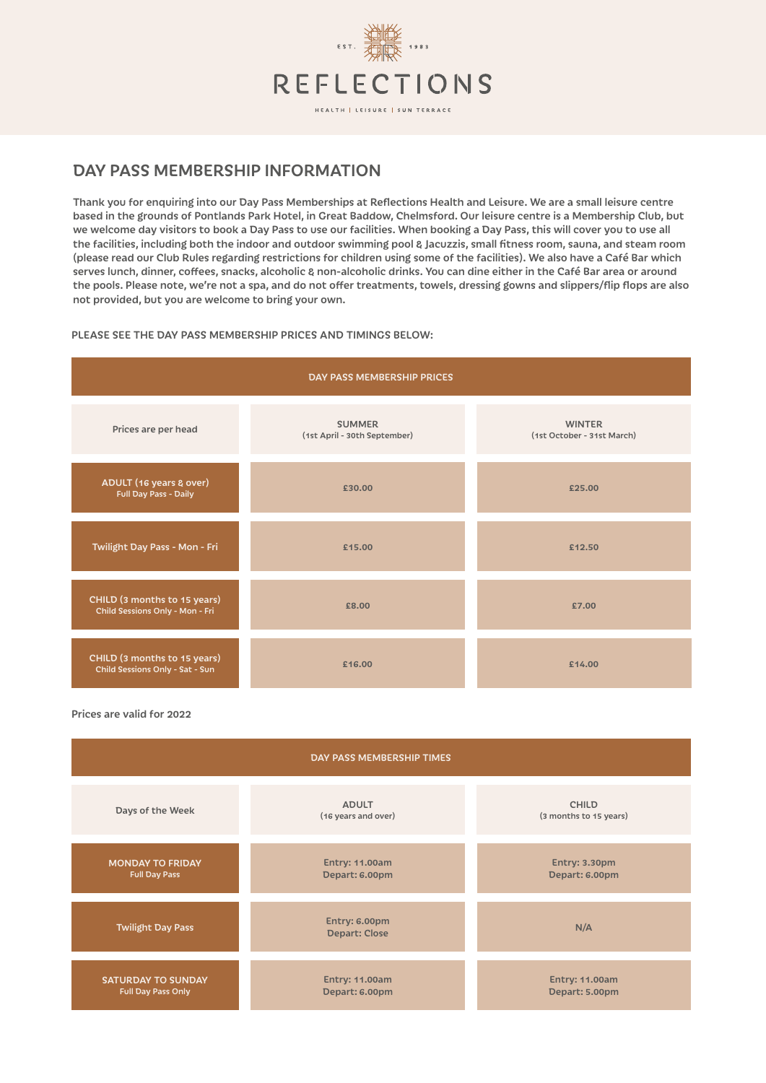

## DAY PASS MEMBERSHIP INFORMATION

Thank you for enquiring into our Day Pass Memberships at Reflections Health and Leisure. We are a small leisure centre based in the grounds of Pontlands Park Hotel, in Great Baddow, Chelmsford. Our leisure centre is a Membership Club, but we welcome day visitors to book a Day Pass to use our facilities. When booking a Day Pass, this will cover you to use all the facilities, including both the indoor and outdoor swimming pool & Jacuzzis, small fitness room, sauna, and steam room (please read our Club Rules regarding restrictions for children using some of the facilities). We also have a Café Bar which serves lunch, dinner, coffees, snacks, alcoholic & non-alcoholic drinks. You can dine either in the Café Bar area or around the pools. Please note, we're not a spa, and do not offer treatments, towels, dressing gowns and slippers/flip flops are also not provided, but you are welcome to bring your own.

## PLEASE SEE THE DAY PASS MEMBERSHIP PRICES AND TIMINGS BELOW:



Prices are valid for 2022